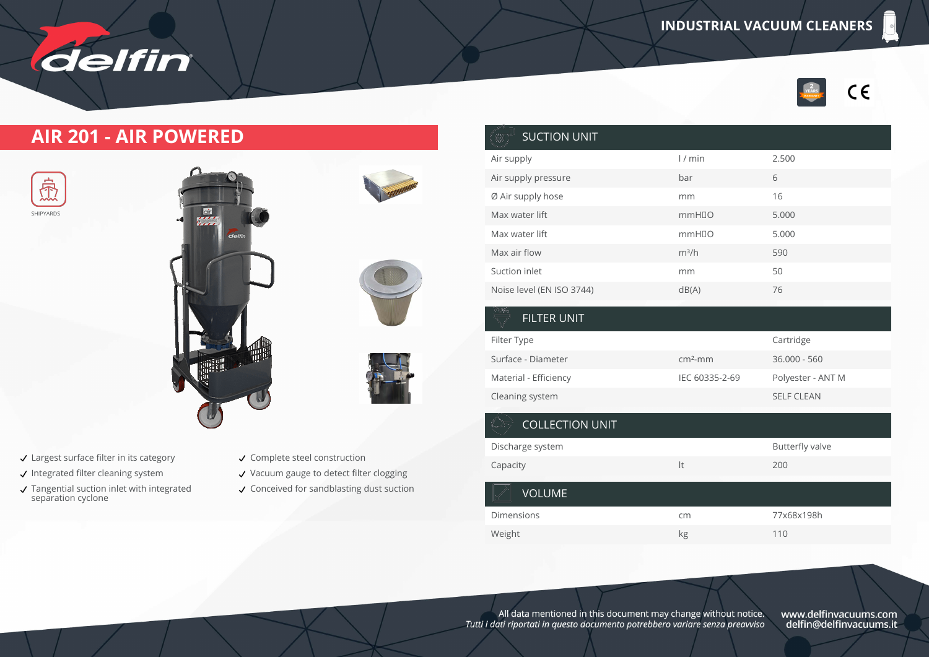

## **AIR 201 - AIR POWERED**

delfin





- Largest surface filter in its category
- $\checkmark$  Integrated filter cleaning system
- Tangential suction inlet with integrated separation cyclone



- Vacuum gauge to detect filter clogging
- Conceived for sandblasting dust suction

| <b>SUCTION UNIT</b>       |                   |       |
|---------------------------|-------------------|-------|
| Air supply                | 1/min             | 2.500 |
| Air supply pressure       | bar               | 6     |
| Ø Air supply hose         | mm                | 16    |
| Max water lift            | mmH <sub>IO</sub> | 5.000 |
| Max water lift            | mmH <sub>IO</sub> | 5.000 |
| Max air flow              | $m^3/h$           | 590   |
| Suction inlet             | mm                | 50    |
| Noise level (EN ISO 3744) | dB(A)             | 76    |

| <b>FILTER UNIT</b>     |                |                        |
|------------------------|----------------|------------------------|
| Filter Type            |                | Cartridge              |
| Surface - Diameter     | $cm2$ -mm      | $36.000 - 560$         |
| Material - Efficiency  | IEC 60335-2-69 | Polyester - ANT M      |
| Cleaning system        |                | <b>SELF CLEAN</b>      |
| <b>COLLECTION UNIT</b> |                |                        |
| Discharge system       |                | <b>Butterfly valve</b> |
| Capacity               | It             | 200                    |
| <b>VOLUME</b>          |                |                        |
| <b>Dimensions</b>      | cm             | 77x68x198h             |
| Weight                 | kg             | 110                    |

All data mentioned in this document may change without notice.<br>Tutti i dati riportati in questo documento potrebbero variare senza preawiso

www.delfinvacuums.com<br>delfin@delfinvacuums.it